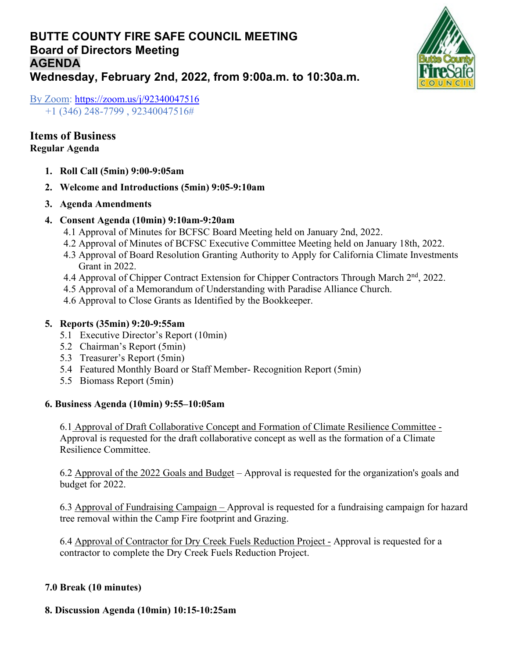# **BUTTE COUNTY FIRE SAFE COUNCIL MEETING Board of Directors Meeting AGENDA Wednesday, February 2nd, 2022, from 9:00a.m. to 10:30a.m.**



By Zoom:<https://zoom.us/j/92340047516> +1 (346) 248-7799 , 92340047516#

### **Items of Business Regular Agenda**

- **1. Roll Call (5min) 9:00-9:05am**
- **2. Welcome and Introductions (5min) 9:05-9:10am**
- **3. Agenda Amendments**
- **4. Consent Agenda (10min) 9:10am-9:20am**
	- 4.1 Approval of Minutes for BCFSC Board Meeting held on January 2nd, 2022.
	- 4.2 Approval of Minutes of BCFSC Executive Committee Meeting held on January 18th, 2022.
	- 4.3 Approval of Board Resolution Granting Authority to Apply for California Climate Investments Grant in 2022.
	- 4.4 Approval of Chipper Contract Extension for Chipper Contractors Through March  $2<sup>nd</sup>$ , 2022.
	- 4.5 Approval of a Memorandum of Understanding with Paradise Alliance Church.
	- 4.6 Approval to Close Grants as Identified by the Bookkeeper.

## **5. Reports (35min) 9:20-9:55am**

- 5.1 Executive Director's Report (10min)
- 5.2 Chairman's Report (5min)
- 5.3 Treasurer's Report (5min)
- 5.4 Featured Monthly Board or Staff Member- Recognition Report (5min)
- 5.5 Biomass Report (5min)

#### **6. Business Agenda (10min) 9:55–10:05am**

6.1 Approval of Draft Collaborative Concept and Formation of Climate Resilience Committee - Approval is requested for the draft collaborative concept as well as the formation of a Climate Resilience Committee.

6.2 Approval of the 2022 Goals and Budget – Approval is requested for the organization's goals and budget for 2022.

6.3 Approval of Fundraising Campaign – Approval is requested for a fundraising campaign for hazard tree removal within the Camp Fire footprint and Grazing.

6.4 Approval of Contractor for Dry Creek Fuels Reduction Project - Approval is requested for a contractor to complete the Dry Creek Fuels Reduction Project.

## **7.0 Break (10 minutes)**

## **8. Discussion Agenda (10min) 10:15-10:25am**